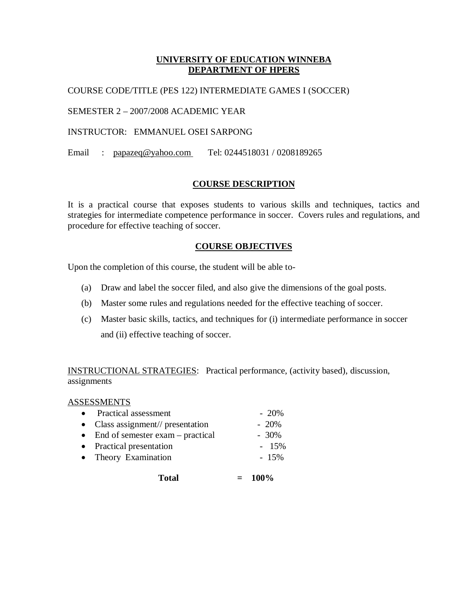# **UNIVERSITY OF EDUCATION WINNEBA DEPARTMENT OF HPERS**

## COURSE CODE/TITLE (PES 122) INTERMEDIATE GAMES I (SOCCER)

SEMESTER 2 – 2007/2008 ACADEMIC YEAR

INSTRUCTOR: EMMANUEL OSEI SARPONG

Email : papazeq@yahoo.com Tel: 0244518031 / 0208189265

# **COURSE DESCRIPTION**

It is a practical course that exposes students to various skills and techniques, tactics and strategies for intermediate competence performance in soccer. Covers rules and regulations, and procedure for effective teaching of soccer.

## **COURSE OBJECTIVES**

Upon the completion of this course, the student will be able to-

- (a) Draw and label the soccer filed, and also give the dimensions of the goal posts.
- (b) Master some rules and regulations needed for the effective teaching of soccer.
- (c) Master basic skills, tactics, and techniques for (i) intermediate performance in soccer and (ii) effective teaching of soccer.

INSTRUCTIONAL STRATEGIES: Practical performance, (activity based), discussion, assignments

### ASSESSMENTS

| $-20\%$                                                                                                                                                               |
|-----------------------------------------------------------------------------------------------------------------------------------------------------------------------|
| $-20%$                                                                                                                                                                |
| $-30\%$                                                                                                                                                               |
| $-15%$                                                                                                                                                                |
| $-15\%$                                                                                                                                                               |
|                                                                                                                                                                       |
| • Practical assessment<br>$\bullet$ Class assignment// presentation<br>$\bullet$ End of semester exam – practical<br>• Practical presentation<br>• Theory Examination |

 $Total = 100\%$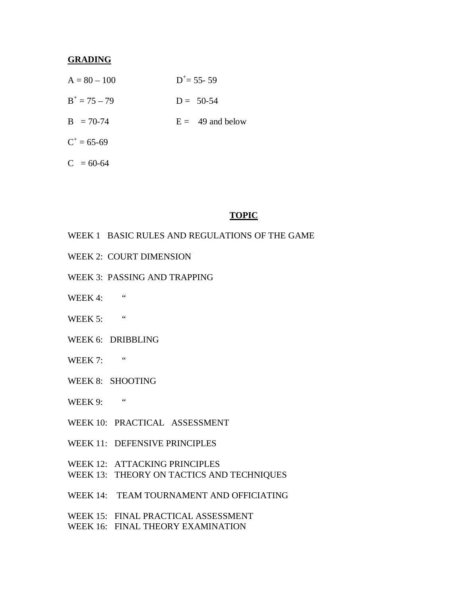#### **GRADING**

| $A = 80 - 100$ | $D^+=$ 55- 59      |
|----------------|--------------------|
| $B^+=75-79$    | $D = 50-54$        |
| $B = 70-74$    | $E = 49$ and below |
| $C^+=65-69$    |                    |
| $C = 60-64$    |                    |

#### **TOPIC**

- WEEK 1 BASIC RULES AND REGULATIONS OF THE GAME
- WEEK 2: COURT DIMENSION
- WEEK 3: PASSING AND TRAPPING
- WEEK 4:  $"$
- WEEK 5: "
- WEEK 6: DRIBBLING
- WEEK 7:  $"$
- WEEK 8: SHOOTING
- WEEK 9:  $"$
- WEEK 10: PRACTICAL ASSESSMENT
- WEEK 11: DEFENSIVE PRINCIPLES
- WEEK 12: ATTACKING PRINCIPLES
- WEEK 13: THEORY ON TACTICS AND TECHNIQUES
- WEEK 14: TEAM TOURNAMENT AND OFFICIATING
- WEEK 15: FINAL PRACTICAL ASSESSMENT
- WEEK 16: FINAL THEORY EXAMINATION